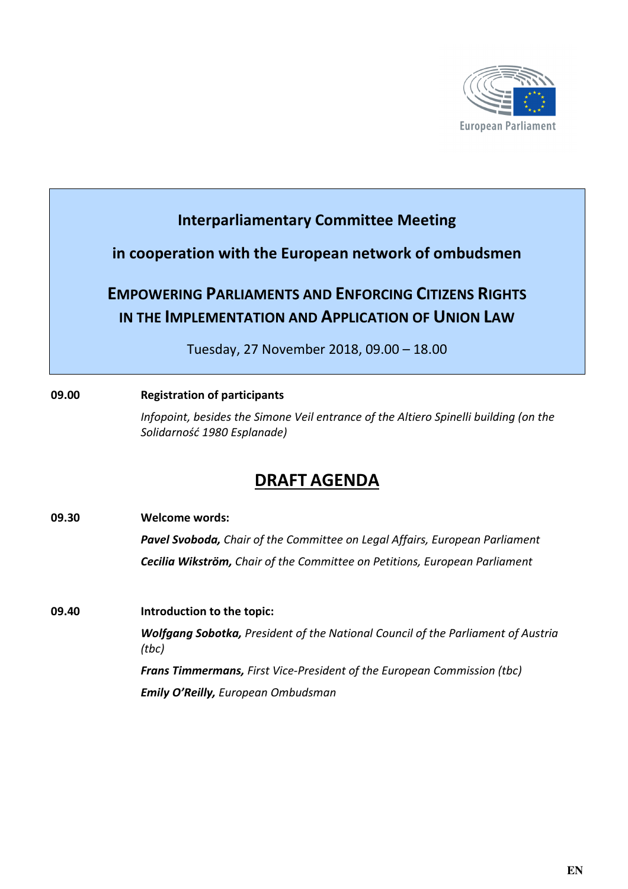

### **Interparliamentary Committee Meeting**

### **in cooperation with the European network of ombudsmen**

# **EMPOWERING PARLIAMENTS AND ENFORCING CITIZENS RIGHTS IN THE IMPLEMENTATION AND APPLICATION OF UNION LAW**

Tuesday, 27 November 2018, 09.00 – 18.00

### **09.00 Registration of participants**

*Infopoint, besides the Simone Veil entrance of the Altiero Spinelli building (on the Solidarność 1980 Esplanade)* 

# **DRAFT AGENDA**

| 09.30 | <b>Welcome words:</b>                                                                            |
|-------|--------------------------------------------------------------------------------------------------|
|       | <b>Pavel Svoboda, Chair of the Committee on Legal Affairs, European Parliament</b>               |
|       | Cecilia Wikström, Chair of the Committee on Petitions, European Parliament                       |
| 09.40 | Introduction to the topic:                                                                       |
|       | <b>Wolfgang Sobotka, President of the National Council of the Parliament of Austria</b><br>(tbc) |
|       | <b>Frans Timmermans, First Vice-President of the European Commission (tbc)</b>                   |
|       | <b>Emily O'Reilly, European Ombudsman</b>                                                        |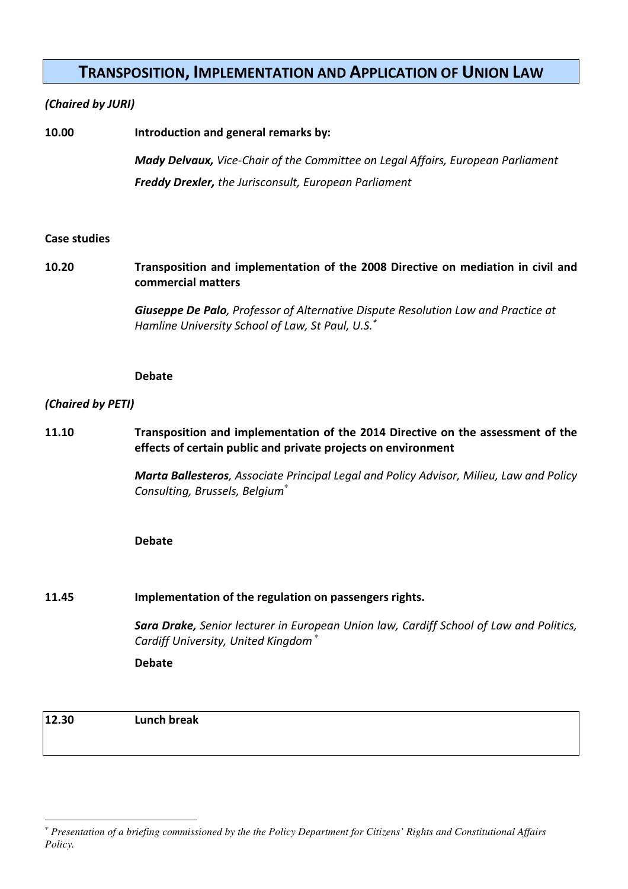### **TRANSPOSITION, IMPLEMENTATION AND APPLICATION OF UNION LAW**

#### *(Chaired by JURI)*

| 10.00 | Introduction and general remarks by:                                                   |
|-------|----------------------------------------------------------------------------------------|
|       | <b>Mady Delvaux,</b> Vice-Chair of the Committee on Legal Affairs, European Parliament |
|       | <b>Freddy Drexler, the Jurisconsult, European Parliament</b>                           |

#### **Case studies**

### **10.20 Transposition and implementation of the 2008 Directive on mediation in civil and commercial matters**

*Giuseppe De Palo, Professor of Alternative Dispute Resolution Law and Practice at Hamline University School of Law, St Paul, U.S.\**

#### **Debate**

#### *(Chaired by PETI)*

**11.10 Transposition and implementation of the 2014 Directive on the assessment of the effects of certain public and private projects on environment**

> *Marta Ballesteros, Associate Principal Legal and Policy Advisor, Milieu, Law and Policy Consulting, Brussels, Belgium*\*

#### **Debate**

#### **11.45 Implementation of the regulation on passengers rights.**

*Sara Drake, Senior lecturer in European Union law, Cardiff School of Law and Politics, Cardiff University, United Kingdom* \*

**Debate** 

**12.30 Lunch break** 

 $\overline{a}$ 

<sup>\*</sup> *Presentation of a briefing commissioned by the the Policy Department for Citizens' Rights and Constitutional Affairs Policy.*